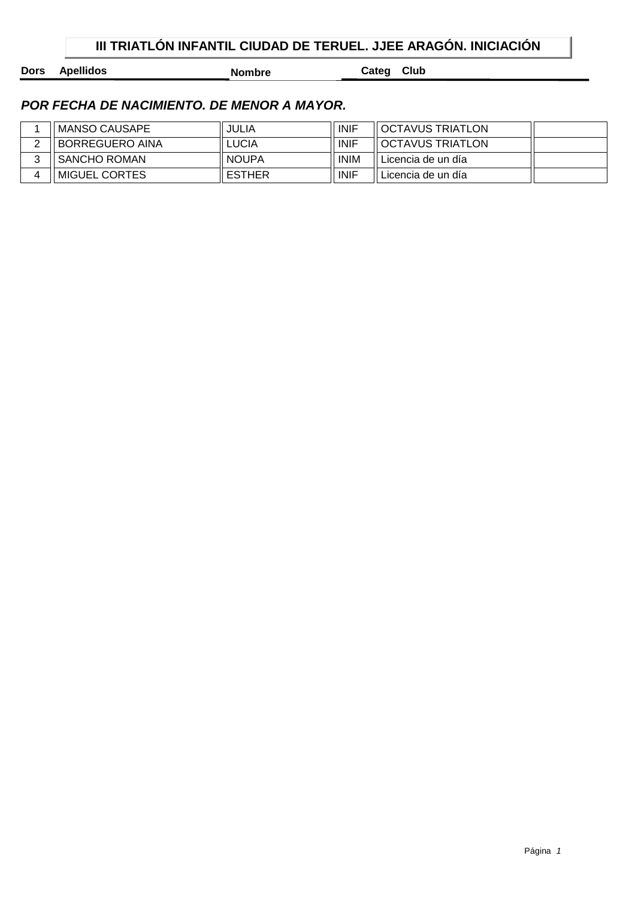## **III TRIATLÓN INFANTIL CIUDAD DE TERUEL. JJEE ARAGÓN. INICIACIÓN**

**Dors Apellidos Nombre Categ Club** 

| <b>MANSO CAUSAPE</b> | JULIA         | <b>INIF</b> | OCTAVUS TRIATLON   |  |
|----------------------|---------------|-------------|--------------------|--|
| BORREGUERO AINA      | ∟UCIA         | <b>INIF</b> | OCTAVUS TRIATLON   |  |
| SANCHO ROMAN         | <b>NOUPA</b>  | <b>INIM</b> | Licencia de un día |  |
| MIGUEL CORTES        | <b>ESTHER</b> | <b>INIF</b> | Licencia de un día |  |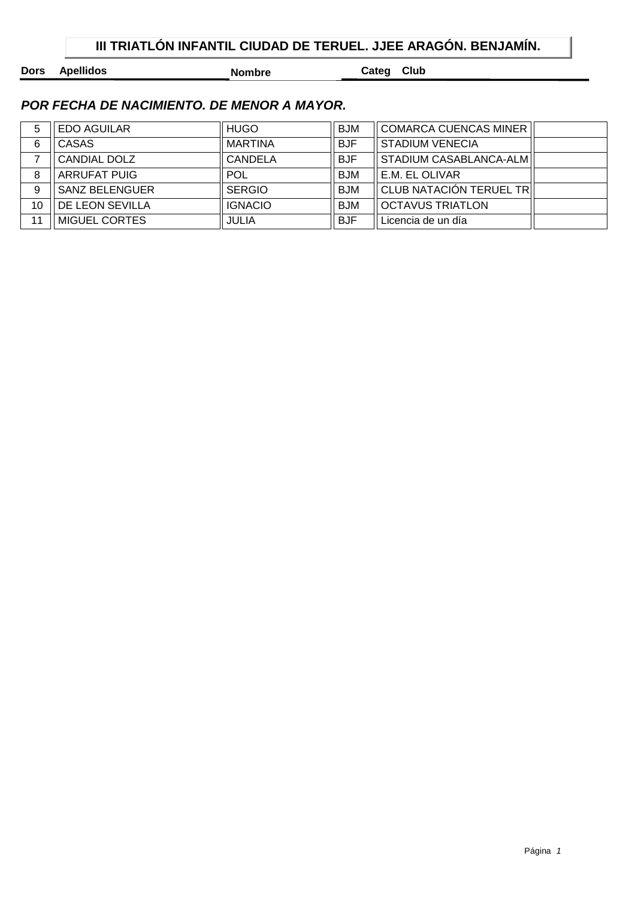## **III TRIATLÓN INFANTIL CIUDAD DE TERUEL. JJEE ARAGÓN. BENJAMÍN.**

**Dors Apellidos Nombre Categ Club** 

| 5  | <b>EDO AGUILAR</b>    | <b>HUGO</b>    | <b>BJM</b> | <b>COMARCA CUENCAS MINER</b> |  |
|----|-----------------------|----------------|------------|------------------------------|--|
| 6  | CASAS                 | <b>MARTINA</b> | <b>BJF</b> | <b>STADIUM VENECIA</b>       |  |
|    | CANDIAL DOLZ          | <b>CANDELA</b> | <b>BJF</b> | STADIUM CASABLANCA-ALM       |  |
| 8  | <b>ARRUFAT PUIG</b>   | <b>POL</b>     | <b>BJM</b> | E.M. EL OLIVAR               |  |
| 9  | <b>SANZ BELENGUER</b> | <b>SERGIO</b>  | <b>BJM</b> | CLUB NATACIÓN TERUEL TR      |  |
| 10 | DE LEON SEVILLA       | <b>IGNACIO</b> | <b>BJM</b> | <b>OCTAVUS TRIATLON</b>      |  |
| 11 | <b>MIGUEL CORTES</b>  | JULIA          | <b>BJF</b> | Licencia de un día           |  |
|    |                       |                |            |                              |  |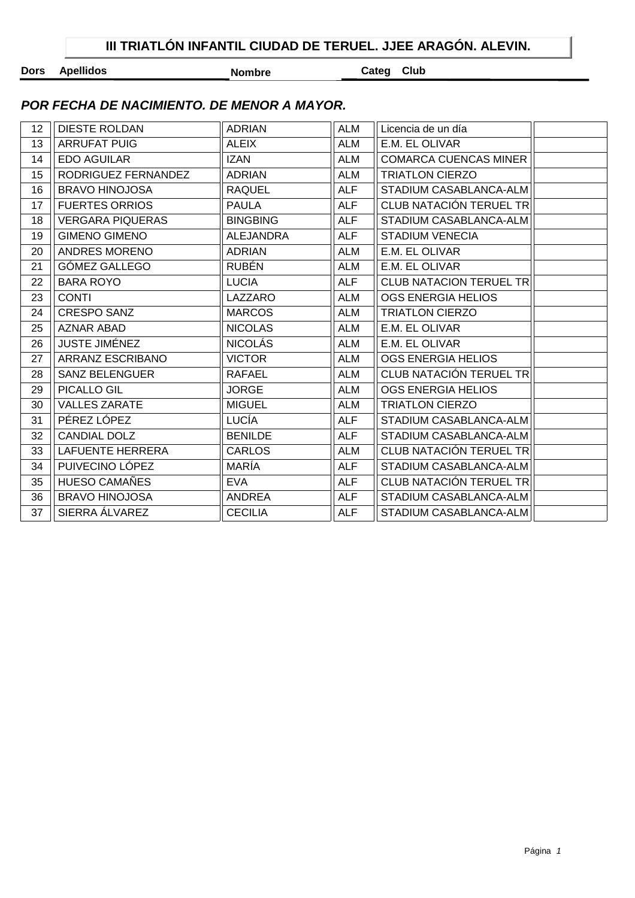**Dors Apellidos Nombre Categ Club** 

| 12 | <b>DIESTE ROLDAN</b>    | <b>ADRIAN</b>    | <b>ALM</b> | Licencia de un día             |  |
|----|-------------------------|------------------|------------|--------------------------------|--|
| 13 | <b>ARRUFAT PUIG</b>     | <b>ALEIX</b>     | ALM        | E.M. EL OLIVAR                 |  |
| 14 | <b>EDO AGUILAR</b>      | <b>IZAN</b>      | <b>ALM</b> | <b>COMARCA CUENCAS MINER</b>   |  |
| 15 | RODRIGUEZ FERNANDEZ     | <b>ADRIAN</b>    | <b>ALM</b> | <b>TRIATLON CIERZO</b>         |  |
| 16 | <b>BRAVO HINOJOSA</b>   | <b>RAQUEL</b>    | <b>ALF</b> | STADIUM CASABLANCA-ALM         |  |
| 17 | <b>FUERTES ORRIOS</b>   | <b>PAULA</b>     | <b>ALF</b> | CLUB NATACIÓN TERUEL TR        |  |
| 18 | <b>VERGARA PIQUERAS</b> | <b>BINGBING</b>  | <b>ALF</b> | STADIUM CASABLANCA-ALM         |  |
| 19 | <b>GIMENO GIMENO</b>    | <b>ALEJANDRA</b> | <b>ALF</b> | <b>STADIUM VENECIA</b>         |  |
| 20 | ANDRES MORENO           | <b>ADRIAN</b>    | <b>ALM</b> | E.M. EL OLIVAR                 |  |
| 21 | GÓMEZ GALLEGO           | <b>RUBÉN</b>     | <b>ALM</b> | E.M. EL OLIVAR                 |  |
| 22 | <b>BARA ROYO</b>        | <b>LUCIA</b>     | <b>ALF</b> | <b>CLUB NATACION TERUEL TR</b> |  |
| 23 | <b>CONTI</b>            | LAZZARO          | <b>ALM</b> | <b>OGS ENERGIA HELIOS</b>      |  |
| 24 | <b>CRESPO SANZ</b>      | <b>MARCOS</b>    | <b>ALM</b> | <b>TRIATLON CIERZO</b>         |  |
| 25 | <b>AZNAR ABAD</b>       | <b>NICOLAS</b>   | <b>ALM</b> | E.M. EL OLIVAR                 |  |
| 26 | <b>JUSTE JIMÉNEZ</b>    | <b>NICOLÁS</b>   | ALM        | E.M. EL OLIVAR                 |  |
| 27 | ARRANZ ESCRIBANO        | <b>VICTOR</b>    | <b>ALM</b> | OGS ENERGIA HELIOS             |  |
| 28 | <b>SANZ BELENGUER</b>   | <b>RAFAEL</b>    | <b>ALM</b> | CLUB NATACIÓN TERUEL TR        |  |
| 29 | PICALLO GIL             | <b>JORGE</b>     | <b>ALM</b> | OGS ENERGIA HELIOS             |  |
| 30 | <b>VALLES ZARATE</b>    | <b>MIGUEL</b>    | <b>ALM</b> | <b>TRIATLON CIERZO</b>         |  |
| 31 | PÉREZ LÓPEZ             | LUCÍA            | <b>ALF</b> | STADIUM CASABLANCA-ALM         |  |
| 32 | <b>CANDIAL DOLZ</b>     | <b>BENILDE</b>   | <b>ALF</b> | STADIUM CASABLANCA-ALM         |  |
| 33 | LAFUENTE HERRERA        | <b>CARLOS</b>    | <b>ALM</b> | CLUB NATACIÓN TERUEL TR        |  |
| 34 | PUIVECINO LÓPEZ         | MARÍA            | <b>ALF</b> | STADIUM CASABLANCA-ALM         |  |
| 35 | HUESO CAMAÑES           | <b>EVA</b>       | <b>ALF</b> | CLUB NATACIÓN TERUEL TR        |  |
| 36 | <b>BRAVO HINOJOSA</b>   | <b>ANDREA</b>    | <b>ALF</b> | STADIUM CASABLANCA-ALM         |  |
| 37 | SIERRA ÁLVAREZ          | <b>CECILIA</b>   | <b>ALF</b> | STADIUM CASABLANCA-ALM         |  |
|    |                         |                  |            |                                |  |